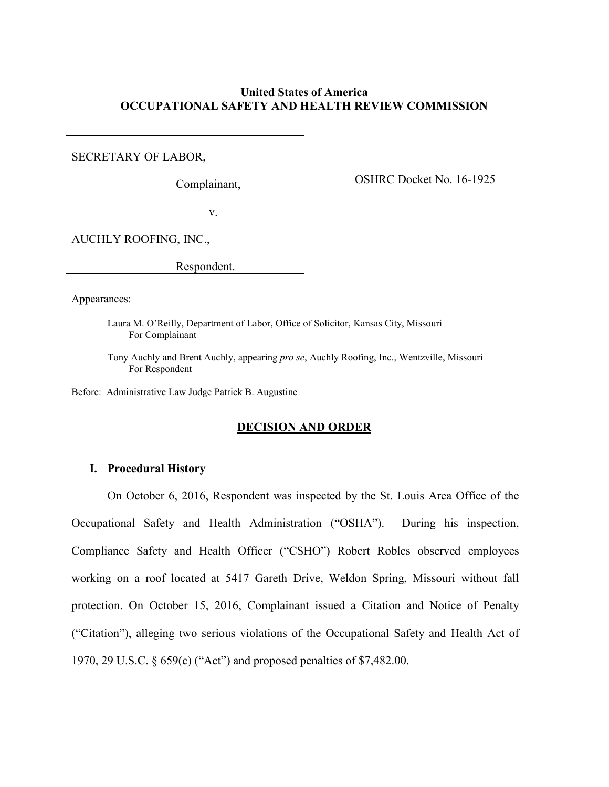# **United States of America OCCUPATIONAL SAFETY AND HEALTH REVIEW COMMISSION**

SECRETARY OF LABOR,

Complainant,

OSHRC Docket No. 16-1925

v.

AUCHLY ROOFING, INC.,

Respondent.

Appearances:

Laura M. O'Reilly, Department of Labor, Office of Solicitor, Kansas City, Missouri For Complainant

Tony Auchly and Brent Auchly, appearing *pro se*, Auchly Roofing, Inc., Wentzville, Missouri For Respondent

Before: Administrative Law Judge Patrick B. Augustine

### **DECISION AND ORDER**

### **I. Procedural History**

On October 6, 2016, Respondent was inspected by the St. Louis Area Office of the Occupational Safety and Health Administration ("OSHA"). During his inspection, Compliance Safety and Health Officer ("CSHO") Robert Robles observed employees working on a roof located at 5417 Gareth Drive, Weldon Spring, Missouri without fall protection. On October 15, 2016, Complainant issued a Citation and Notice of Penalty ("Citation"), alleging two serious violations of the Occupational Safety and Health Act of 1970, 29 U.S.C. § 659(c) ("Act") and proposed penalties of \$7,482.00.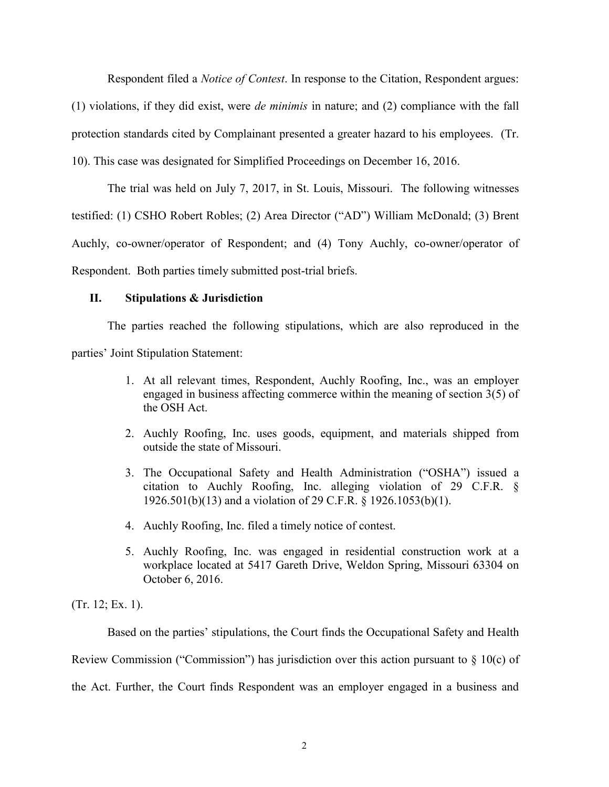Respondent filed a *Notice of Contest*. In response to the Citation, Respondent argues:

(1) violations, if they did exist, were *de minimis* in nature; and (2) compliance with the fall

protection standards cited by Complainant presented a greater hazard to his employees. (Tr.

10). This case was designated for Simplified Proceedings on December 16, 2016.

The trial was held on July 7, 2017, in St. Louis, Missouri. The following witnesses testified: (1) CSHO Robert Robles; (2) Area Director ("AD") William McDonald; (3) Brent Auchly, co-owner/operator of Respondent; and (4) Tony Auchly, co-owner/operator of Respondent. Both parties timely submitted post-trial briefs.

# **II. Stipulations & Jurisdiction**

The parties reached the following stipulations, which are also reproduced in the parties' Joint Stipulation Statement:

- 1. At all relevant times, Respondent, Auchly Roofing, Inc., was an employer engaged in business affecting commerce within the meaning of section 3(5) of the OSH Act.
- 2. Auchly Roofing, Inc. uses goods, equipment, and materials shipped from outside the state of Missouri.
- 3. The Occupational Safety and Health Administration ("OSHA") issued a citation to Auchly Roofing, Inc. alleging violation of 29 C.F.R. § 1926.501(b)(13) and a violation of 29 C.F.R. § 1926.1053(b)(1).
- 4. Auchly Roofing, Inc. filed a timely notice of contest.
- 5. Auchly Roofing, Inc. was engaged in residential construction work at a workplace located at 5417 Gareth Drive, Weldon Spring, Missouri 63304 on October 6, 2016.

(Tr. 12; Ex. 1).

Based on the parties' stipulations, the Court finds the Occupational Safety and Health Review Commission ("Commission") has jurisdiction over this action pursuant to  $\S$  10(c) of the Act. Further, the Court finds Respondent was an employer engaged in a business and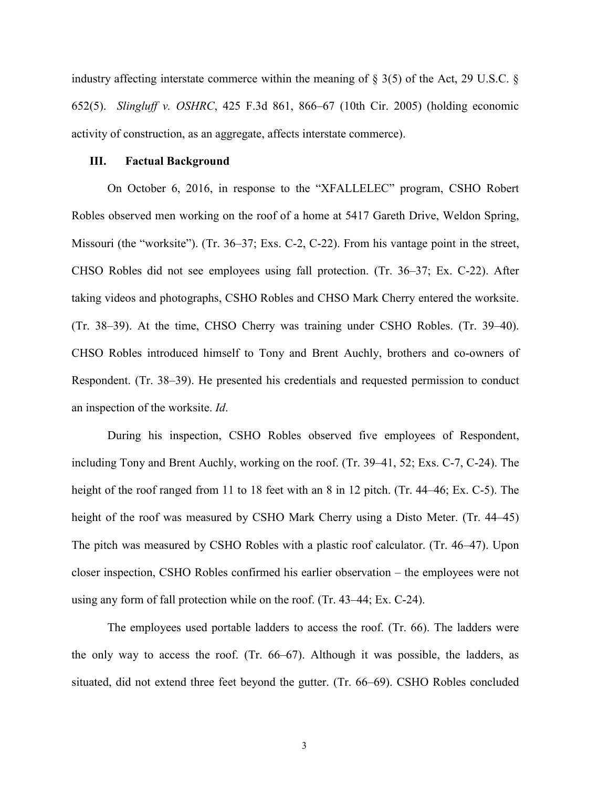industry affecting interstate commerce within the meaning of § 3(5) of the Act, 29 U.S.C. § 652(5). *Slingluff v. OSHRC*, 425 F.3d 861, 866–67 (10th Cir. 2005) (holding economic activity of construction, as an aggregate, affects interstate commerce).

#### **III. Factual Background**

On October 6, 2016, in response to the "XFALLELEC" program, CSHO Robert Robles observed men working on the roof of a home at 5417 Gareth Drive, Weldon Spring, Missouri (the "worksite"). (Tr. 36–37; Exs. C-2, C-22). From his vantage point in the street, CHSO Robles did not see employees using fall protection. (Tr. 36–37; Ex. C-22). After taking videos and photographs, CSHO Robles and CHSO Mark Cherry entered the worksite. (Tr. 38–39). At the time, CHSO Cherry was training under CSHO Robles. (Tr. 39–40). CHSO Robles introduced himself to Tony and Brent Auchly, brothers and co-owners of Respondent. (Tr. 38–39). He presented his credentials and requested permission to conduct an inspection of the worksite. *Id*.

During his inspection, CSHO Robles observed five employees of Respondent, including Tony and Brent Auchly, working on the roof. (Tr. 39–41, 52; Exs. C-7, C-24). The height of the roof ranged from 11 to 18 feet with an 8 in 12 pitch. (Tr. 44–46; Ex. C-5). The height of the roof was measured by CSHO Mark Cherry using a Disto Meter. (Tr. 44–45) The pitch was measured by CSHO Robles with a plastic roof calculator. (Tr. 46–47). Upon closer inspection, CSHO Robles confirmed his earlier observation – the employees were not using any form of fall protection while on the roof. (Tr. 43–44; Ex. C-24).

The employees used portable ladders to access the roof. (Tr. 66). The ladders were the only way to access the roof. (Tr. 66–67). Although it was possible, the ladders, as situated, did not extend three feet beyond the gutter. (Tr. 66–69). CSHO Robles concluded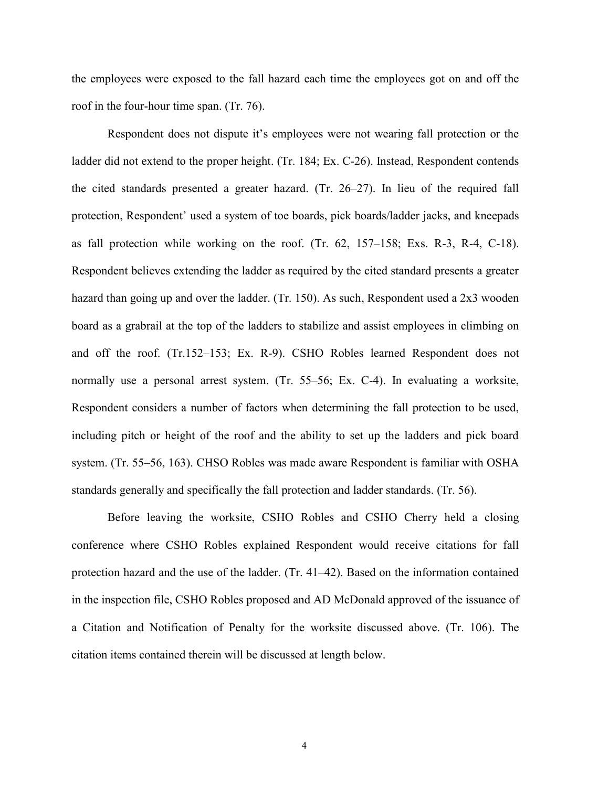the employees were exposed to the fall hazard each time the employees got on and off the roof in the four-hour time span. (Tr. 76).

Respondent does not dispute it's employees were not wearing fall protection or the ladder did not extend to the proper height. (Tr. 184; Ex. C-26). Instead, Respondent contends the cited standards presented a greater hazard. (Tr. 26–27). In lieu of the required fall protection, Respondent' used a system of toe boards, pick boards/ladder jacks, and kneepads as fall protection while working on the roof. (Tr. 62, 157–158; Exs. R-3, R-4, C-18). Respondent believes extending the ladder as required by the cited standard presents a greater hazard than going up and over the ladder. (Tr. 150). As such, Respondent used a 2x3 wooden board as a grabrail at the top of the ladders to stabilize and assist employees in climbing on and off the roof. (Tr.152–153; Ex. R-9). CSHO Robles learned Respondent does not normally use a personal arrest system. (Tr. 55–56; Ex. C-4). In evaluating a worksite, Respondent considers a number of factors when determining the fall protection to be used, including pitch or height of the roof and the ability to set up the ladders and pick board system. (Tr. 55–56, 163). CHSO Robles was made aware Respondent is familiar with OSHA standards generally and specifically the fall protection and ladder standards. (Tr. 56).

Before leaving the worksite, CSHO Robles and CSHO Cherry held a closing conference where CSHO Robles explained Respondent would receive citations for fall protection hazard and the use of the ladder. (Tr. 41–42). Based on the information contained in the inspection file, CSHO Robles proposed and AD McDonald approved of the issuance of a Citation and Notification of Penalty for the worksite discussed above. (Tr. 106). The citation items contained therein will be discussed at length below.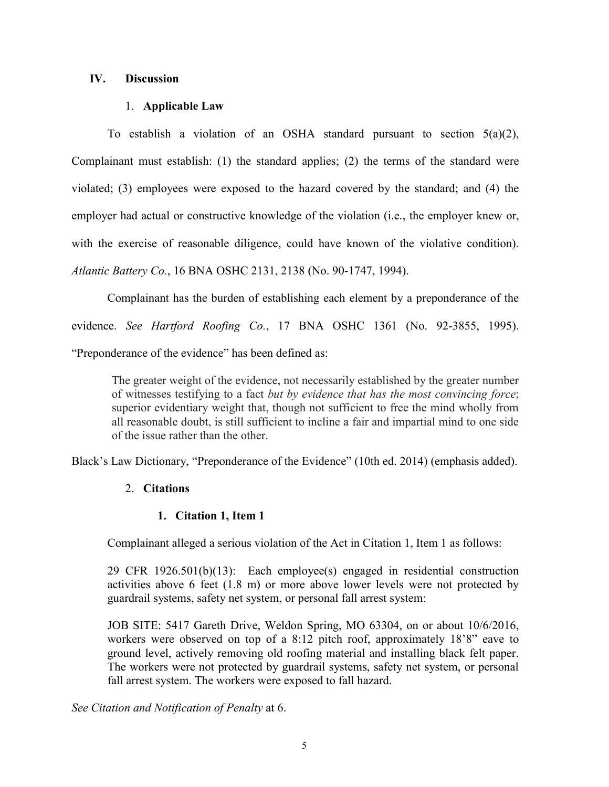# **IV. Discussion**

# 1. **Applicable Law**

To establish a violation of an OSHA standard pursuant to section  $5(a)(2)$ , Complainant must establish: (1) the standard applies; (2) the terms of the standard were violated; (3) employees were exposed to the hazard covered by the standard; and (4) the employer had actual or constructive knowledge of the violation (i.e., the employer knew or, with the exercise of reasonable diligence, could have known of the violative condition). *Atlantic Battery Co.*, 16 BNA OSHC 2131, 2138 (No. 90-1747, 1994).

Complainant has the burden of establishing each element by a preponderance of the evidence. *See Hartford Roofing Co.*, 17 BNA OSHC 1361 (No. 92-3855, 1995). "Preponderance of the evidence" has been defined as:

The greater weight of the evidence, not necessarily established by the greater number of witnesses testifying to a fact *but by evidence that has the most convincing force*; superior evidentiary weight that, though not sufficient to free the mind wholly from all reasonable doubt, is still sufficient to incline a fair and impartial mind to one side of the issue rather than the other.

Black's Law Dictionary, "Preponderance of the Evidence" (10th ed. 2014) (emphasis added).

# 2. **Citations**

# **1. Citation 1, Item 1**

Complainant alleged a serious violation of the Act in Citation 1, Item 1 as follows:

29 CFR 1926.501(b)(13): Each employee(s) engaged in residential construction activities above 6 feet (1.8 m) or more above lower levels were not protected by guardrail systems, safety net system, or personal fall arrest system:

JOB SITE: 5417 Gareth Drive, Weldon Spring, MO 63304, on or about 10/6/2016, workers were observed on top of a 8:12 pitch roof, approximately 18'8" eave to ground level, actively removing old roofing material and installing black felt paper. The workers were not protected by guardrail systems, safety net system, or personal fall arrest system. The workers were exposed to fall hazard.

*See Citation and Notification of Penalty* at 6.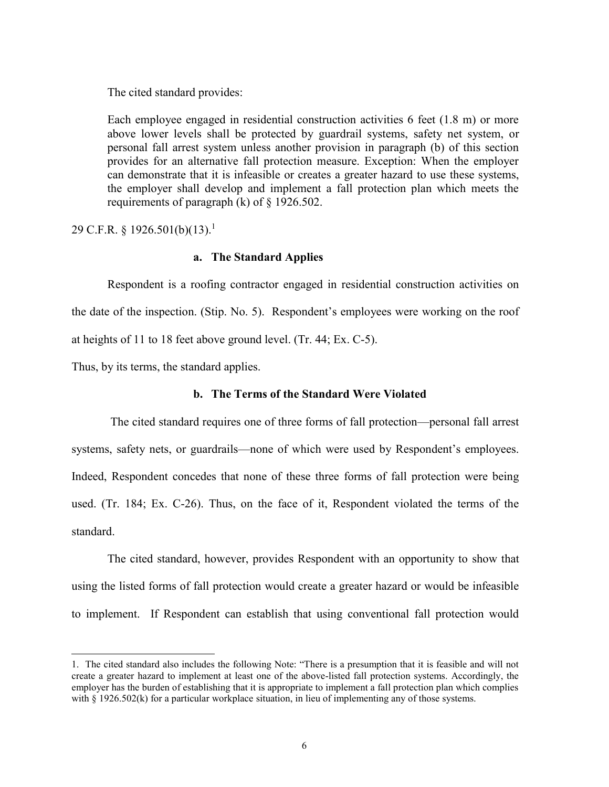The cited standard provides:

Each employee engaged in residential construction activities 6 feet (1.8 m) or more above lower levels shall be protected by guardrail systems, safety net system, or personal fall arrest system unless another provision in paragraph (b) of this section provides for an alternative fall protection measure. Exception: When the employer can demonstrate that it is infeasible or creates a greater hazard to use these systems, the employer shall develop and implement a fall protection plan which meets the requirements of paragraph (k) of § 1926.502.

29 C.F.R. § 1926.501(b)(13).<sup>1</sup>

## **a. The Standard Applies**

Respondent is a roofing contractor engaged in residential construction activities on the date of the inspection. (Stip. No. 5). Respondent's employees were working on the roof at heights of 11 to 18 feet above ground level. (Tr. 44; Ex. C-5).

Thus, by its terms, the standard applies.

 $\overline{a}$ 

## **b. The Terms of the Standard Were Violated**

The cited standard requires one of three forms of fall protection—personal fall arrest systems, safety nets, or guardrails—none of which were used by Respondent's employees. Indeed, Respondent concedes that none of these three forms of fall protection were being used. (Tr. 184; Ex. C-26). Thus, on the face of it, Respondent violated the terms of the standard.

The cited standard, however, provides Respondent with an opportunity to show that using the listed forms of fall protection would create a greater hazard or would be infeasible to implement. If Respondent can establish that using conventional fall protection would

<sup>1.</sup> The cited standard also includes the following Note: "There is a presumption that it is feasible and will not create a greater hazard to implement at least one of the above-listed fall protection systems. Accordingly, the employer has the burden of establishing that it is appropriate to implement a fall protection plan which complies with § 1926.502(k) for a particular workplace situation, in lieu of implementing any of those systems.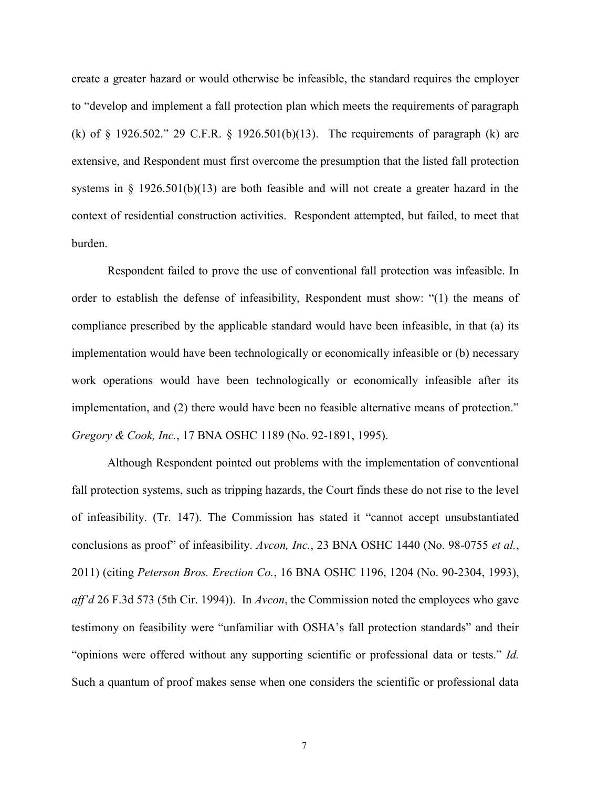create a greater hazard or would otherwise be infeasible, the standard requires the employer to "develop and implement a fall protection plan which meets the requirements of paragraph (k) of § 1926.502." 29 C.F.R. § 1926.501(b)(13). The requirements of paragraph (k) are extensive, and Respondent must first overcome the presumption that the listed fall protection systems in  $\S$  1926.501(b)(13) are both feasible and will not create a greater hazard in the context of residential construction activities. Respondent attempted, but failed, to meet that burden.

Respondent failed to prove the use of conventional fall protection was infeasible. In order to establish the defense of infeasibility, Respondent must show: "(1) the means of compliance prescribed by the applicable standard would have been infeasible, in that (a) its implementation would have been technologically or economically infeasible or (b) necessary work operations would have been technologically or economically infeasible after its implementation, and (2) there would have been no feasible alternative means of protection." *Gregory & Cook, Inc.*, 17 BNA OSHC 1189 (No. 92-1891, 1995).

Although Respondent pointed out problems with the implementation of conventional fall protection systems, such as tripping hazards, the Court finds these do not rise to the level of infeasibility. (Tr. 147). The Commission has stated it "cannot accept unsubstantiated conclusions as proof" of infeasibility. *Avcon, Inc.*, 23 BNA OSHC 1440 (No. 98-0755 *et al.*, 2011) (citing *Peterson Bros. Erection Co.*, 16 BNA OSHC 1196, 1204 (No. 90-2304, 1993), *aff'd* 26 F.3d 573 (5th Cir. 1994)). In *Avcon*, the Commission noted the employees who gave testimony on feasibility were "unfamiliar with OSHA's fall protection standards" and their "opinions were offered without any supporting scientific or professional data or tests." *Id.* Such a quantum of proof makes sense when one considers the scientific or professional data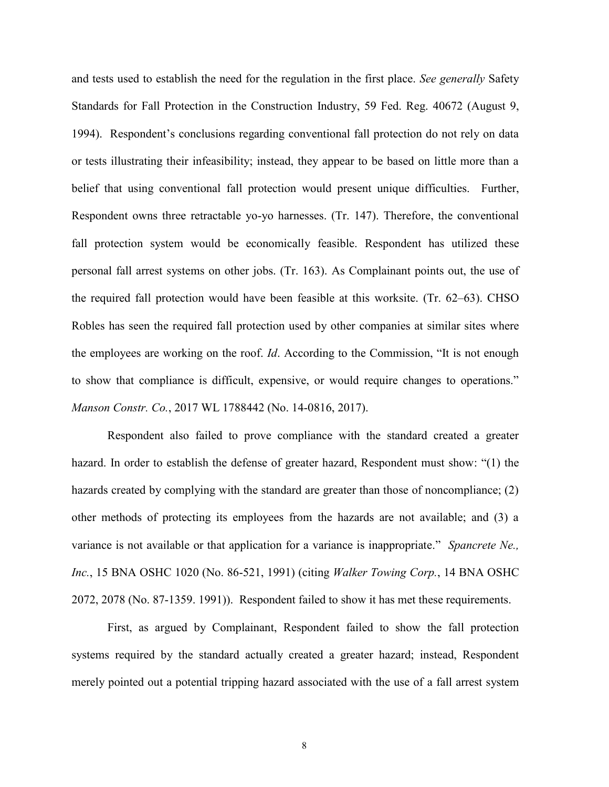and tests used to establish the need for the regulation in the first place. *See generally* Safety Standards for Fall Protection in the Construction Industry, 59 Fed. Reg. 40672 (August 9, 1994). Respondent's conclusions regarding conventional fall protection do not rely on data or tests illustrating their infeasibility; instead, they appear to be based on little more than a belief that using conventional fall protection would present unique difficulties. Further, Respondent owns three retractable yo-yo harnesses. (Tr. 147). Therefore, the conventional fall protection system would be economically feasible. Respondent has utilized these personal fall arrest systems on other jobs. (Tr. 163). As Complainant points out, the use of the required fall protection would have been feasible at this worksite. (Tr. 62–63). CHSO Robles has seen the required fall protection used by other companies at similar sites where the employees are working on the roof. *Id*. According to the Commission, "It is not enough to show that compliance is difficult, expensive, or would require changes to operations." *Manson Constr. Co.*, 2017 WL 1788442 (No. 14-0816, 2017).

Respondent also failed to prove compliance with the standard created a greater hazard. In order to establish the defense of greater hazard, Respondent must show: "(1) the hazards created by complying with the standard are greater than those of noncompliance; (2) other methods of protecting its employees from the hazards are not available; and (3) a variance is not available or that application for a variance is inappropriate." *Spancrete Ne., Inc.*, 15 BNA OSHC 1020 (No. 86-521, 1991) (citing *Walker Towing Corp.*, 14 BNA OSHC 2072, 2078 (No. 87-1359. 1991)). Respondent failed to show it has met these requirements.

First, as argued by Complainant, Respondent failed to show the fall protection systems required by the standard actually created a greater hazard; instead, Respondent merely pointed out a potential tripping hazard associated with the use of a fall arrest system

8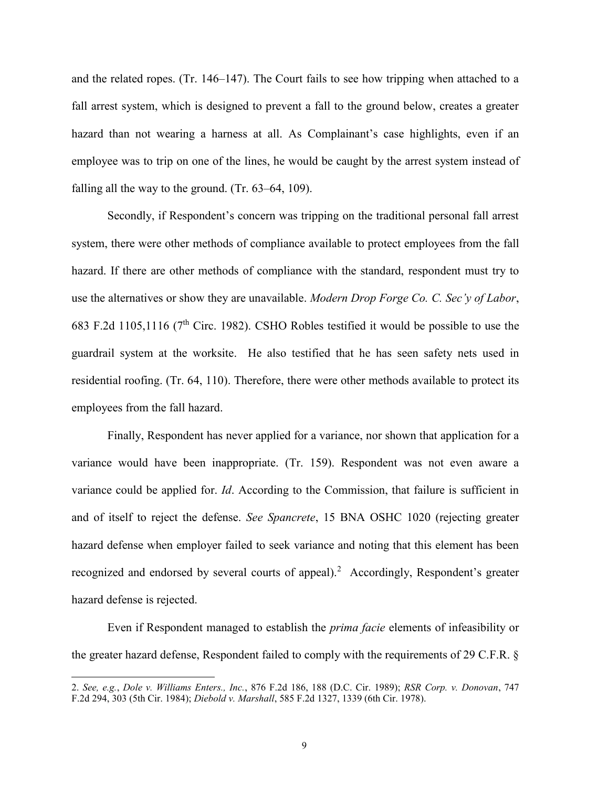and the related ropes. (Tr. 146–147). The Court fails to see how tripping when attached to a fall arrest system, which is designed to prevent a fall to the ground below, creates a greater hazard than not wearing a harness at all. As Complainant's case highlights, even if an employee was to trip on one of the lines, he would be caught by the arrest system instead of falling all the way to the ground. (Tr. 63–64, 109).

Secondly, if Respondent's concern was tripping on the traditional personal fall arrest system, there were other methods of compliance available to protect employees from the fall hazard. If there are other methods of compliance with the standard, respondent must try to use the alternatives or show they are unavailable. *Modern Drop Forge Co. C. Sec'y of Labor*, 683 F.2d 1105,1116 (7th Circ. 1982). CSHO Robles testified it would be possible to use the guardrail system at the worksite. He also testified that he has seen safety nets used in residential roofing. (Tr. 64, 110). Therefore, there were other methods available to protect its employees from the fall hazard.

Finally, Respondent has never applied for a variance, nor shown that application for a variance would have been inappropriate. (Tr. 159). Respondent was not even aware a variance could be applied for. *Id*. According to the Commission, that failure is sufficient in and of itself to reject the defense. *See Spancrete*, 15 BNA OSHC 1020 (rejecting greater hazard defense when employer failed to seek variance and noting that this element has been recognized and endorsed by several courts of appeal).<sup>2</sup> Accordingly, Respondent's greater hazard defense is rejected.

Even if Respondent managed to establish the *prima facie* elements of infeasibility or the greater hazard defense, Respondent failed to comply with the requirements of 29 C.F.R. §

 $\overline{a}$ 

<sup>2.</sup> *See, e.g.*, *Dole v. Williams Enters., Inc.*, 876 F.2d 186, 188 (D.C. Cir. 1989); *RSR Corp. v. Donovan*, 747 F.2d 294, 303 (5th Cir. 1984); *Diebold v. Marshall*, 585 F.2d 1327, 1339 (6th Cir. 1978).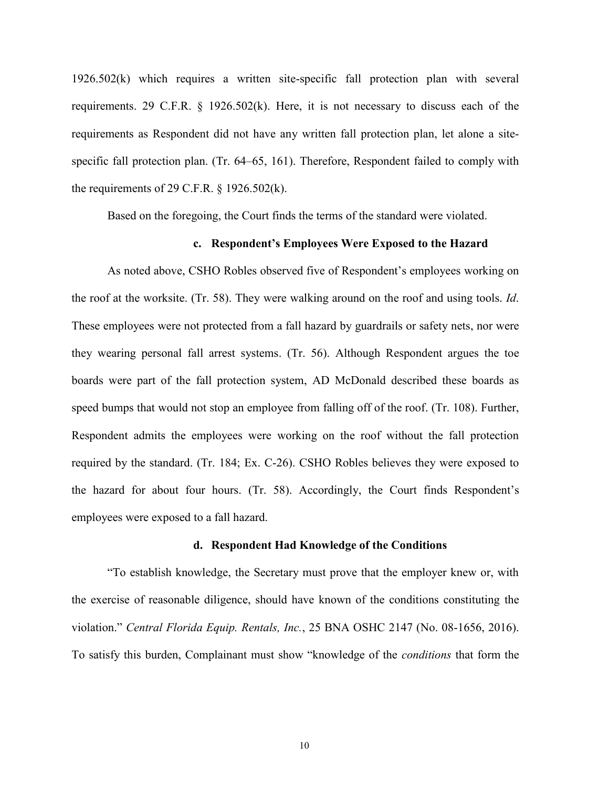1926.502(k) which requires a written site-specific fall protection plan with several requirements. 29 C.F.R. § 1926.502(k). Here, it is not necessary to discuss each of the requirements as Respondent did not have any written fall protection plan, let alone a sitespecific fall protection plan. (Tr. 64–65, 161). Therefore, Respondent failed to comply with the requirements of 29 C.F.R.  $\S$  1926.502(k).

Based on the foregoing, the Court finds the terms of the standard were violated.

#### **c. Respondent's Employees Were Exposed to the Hazard**

As noted above, CSHO Robles observed five of Respondent's employees working on the roof at the worksite. (Tr. 58). They were walking around on the roof and using tools. *Id*. These employees were not protected from a fall hazard by guardrails or safety nets, nor were they wearing personal fall arrest systems. (Tr. 56). Although Respondent argues the toe boards were part of the fall protection system, AD McDonald described these boards as speed bumps that would not stop an employee from falling off of the roof. (Tr. 108). Further, Respondent admits the employees were working on the roof without the fall protection required by the standard. (Tr. 184; Ex. C-26). CSHO Robles believes they were exposed to the hazard for about four hours. (Tr. 58). Accordingly, the Court finds Respondent's employees were exposed to a fall hazard.

#### **d. Respondent Had Knowledge of the Conditions**

"To establish knowledge, the Secretary must prove that the employer knew or, with the exercise of reasonable diligence, should have known of the conditions constituting the violation." *Central Florida Equip. Rentals, Inc.*, 25 BNA OSHC 2147 (No. 08-1656, 2016). To satisfy this burden, Complainant must show "knowledge of the *conditions* that form the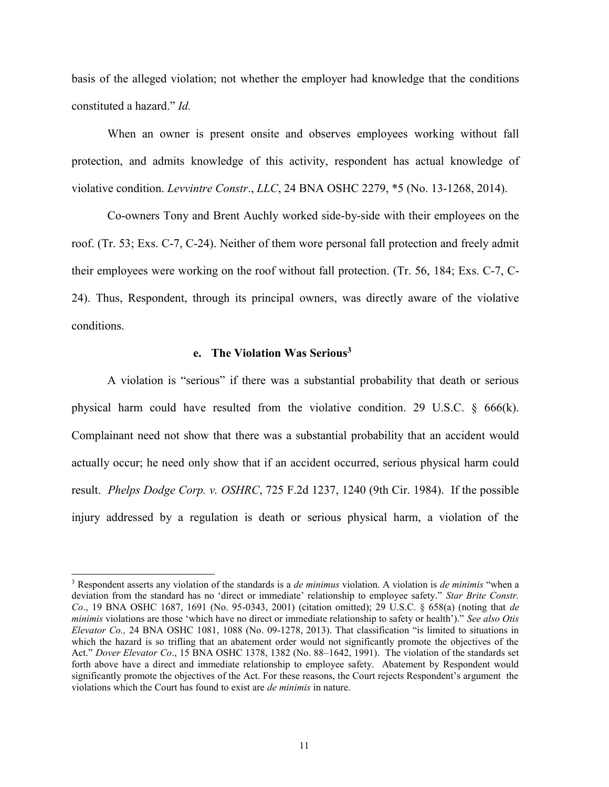basis of the alleged violation; not whether the employer had knowledge that the conditions constituted a hazard." *Id.*

When an owner is present onsite and observes employees working without fall protection, and admits knowledge of this activity, respondent has actual knowledge of violative condition. *Levvintre Constr*., *LLC*, 24 BNA OSHC 2279, \*5 (No. 13-1268, 2014).

Co-owners Tony and Brent Auchly worked side-by-side with their employees on the roof. (Tr. 53; Exs. C-7, C-24). Neither of them wore personal fall protection and freely admit their employees were working on the roof without fall protection. (Tr. 56, 184; Exs. C-7, C-24). Thus, Respondent, through its principal owners, was directly aware of the violative conditions.

## **e. The Violation Was Serious<sup>3</sup>**

A violation is "serious" if there was a substantial probability that death or serious physical harm could have resulted from the violative condition. 29 U.S.C. § 666(k). Complainant need not show that there was a substantial probability that an accident would actually occur; he need only show that if an accident occurred, serious physical harm could result. *Phelps Dodge Corp. v. OSHRC*, 725 F.2d 1237, 1240 (9th Cir. 1984). If the possible injury addressed by a regulation is death or serious physical harm, a violation of the

 $\overline{a}$ 

<sup>3</sup> Respondent asserts any violation of the standards is a *de minimus* violation. A violation is *de minimis* "when a deviation from the standard has no 'direct or immediate' relationship to employee safety." *Star Brite Constr. Co*., 19 BNA OSHC 1687, 1691 (No. 95-0343, 2001) (citation omitted); 29 U.S.C. § 658(a) (noting that *de minimis* violations are those 'which have no direct or immediate relationship to safety or health')." *See also Otis Elevator Co.,* 24 BNA OSHC 1081, 1088 (No. 09-1278, 2013). That classification "is limited to situations in which the hazard is so trifling that an abatement order would not significantly promote the objectives of the Act." *Dover Elevator Co*., 15 BNA OSHC 1378, 1382 (No. 88–1642, 1991). The violation of the standards set forth above have a direct and immediate relationship to employee safety. Abatement by Respondent would significantly promote the objectives of the Act. For these reasons, the Court rejects Respondent's argument the violations which the Court has found to exist are *de minimis* in nature.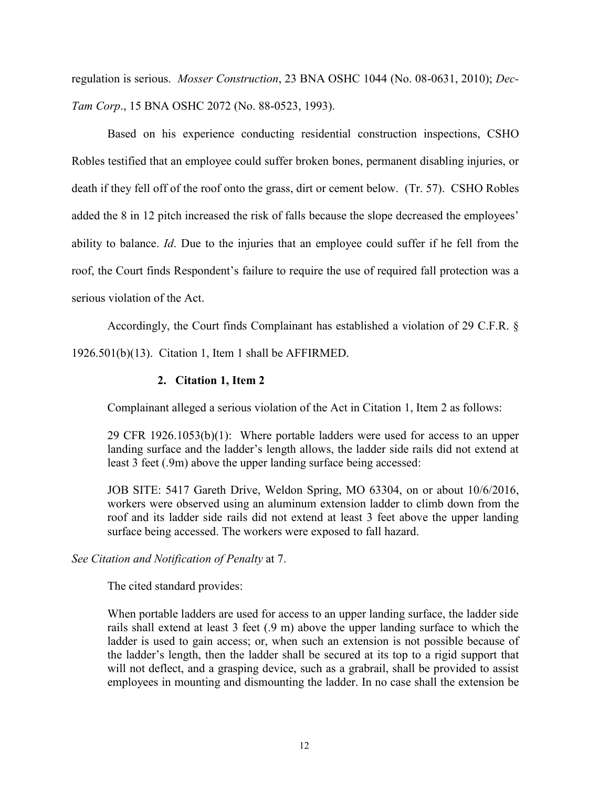regulation is serious. *Mosser Construction*, 23 BNA OSHC 1044 (No. 08-0631, 2010); *Dec-Tam Corp*., 15 BNA OSHC 2072 (No. 88-0523, 1993).

Based on his experience conducting residential construction inspections, CSHO Robles testified that an employee could suffer broken bones, permanent disabling injuries, or death if they fell off of the roof onto the grass, dirt or cement below. (Tr. 57). CSHO Robles added the 8 in 12 pitch increased the risk of falls because the slope decreased the employees' ability to balance. *Id*. Due to the injuries that an employee could suffer if he fell from the roof, the Court finds Respondent's failure to require the use of required fall protection was a serious violation of the Act.

Accordingly, the Court finds Complainant has established a violation of 29 C.F.R. § 1926.501(b)(13). Citation 1, Item 1 shall be AFFIRMED.

# **2. Citation 1, Item 2**

Complainant alleged a serious violation of the Act in Citation 1, Item 2 as follows:

29 CFR 1926.1053(b)(1): Where portable ladders were used for access to an upper landing surface and the ladder's length allows, the ladder side rails did not extend at least 3 feet (.9m) above the upper landing surface being accessed:

JOB SITE: 5417 Gareth Drive, Weldon Spring, MO 63304, on or about 10/6/2016, workers were observed using an aluminum extension ladder to climb down from the roof and its ladder side rails did not extend at least 3 feet above the upper landing surface being accessed. The workers were exposed to fall hazard.

## *See Citation and Notification of Penalty* at 7.

The cited standard provides:

When portable ladders are used for access to an upper landing surface, the ladder side rails shall extend at least 3 feet (.9 m) above the upper landing surface to which the ladder is used to gain access; or, when such an extension is not possible because of the ladder's length, then the ladder shall be secured at its top to a rigid support that will not deflect, and a grasping device, such as a grabrail, shall be provided to assist employees in mounting and dismounting the ladder. In no case shall the extension be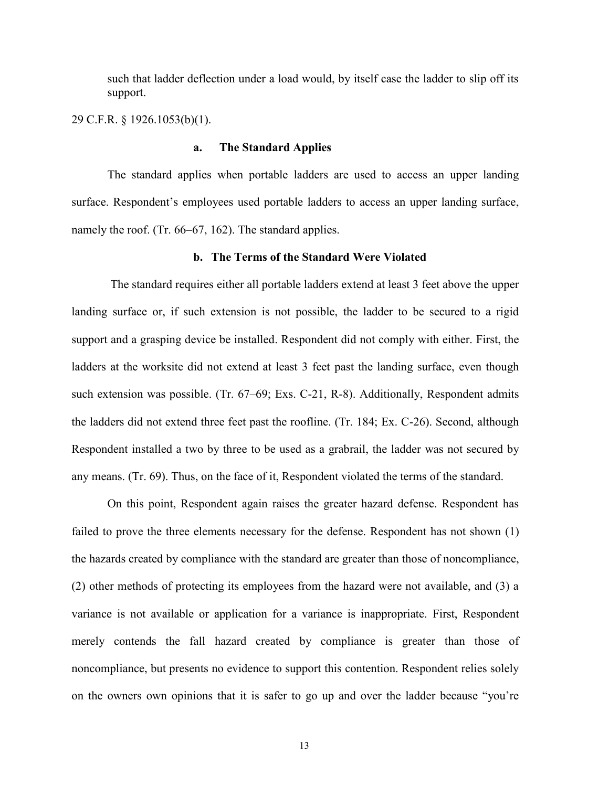such that ladder deflection under a load would, by itself case the ladder to slip off its support.

29 C.F.R. § 1926.1053(b)(1).

### **a. The Standard Applies**

The standard applies when portable ladders are used to access an upper landing surface. Respondent's employees used portable ladders to access an upper landing surface, namely the roof. (Tr. 66–67, 162). The standard applies.

## **b. The Terms of the Standard Were Violated**

The standard requires either all portable ladders extend at least 3 feet above the upper landing surface or, if such extension is not possible, the ladder to be secured to a rigid support and a grasping device be installed. Respondent did not comply with either. First, the ladders at the worksite did not extend at least 3 feet past the landing surface, even though such extension was possible. (Tr. 67–69; Exs. C-21, R-8). Additionally, Respondent admits the ladders did not extend three feet past the roofline. (Tr. 184; Ex. C-26). Second, although Respondent installed a two by three to be used as a grabrail, the ladder was not secured by any means. (Tr. 69). Thus, on the face of it, Respondent violated the terms of the standard.

On this point, Respondent again raises the greater hazard defense. Respondent has failed to prove the three elements necessary for the defense. Respondent has not shown (1) the hazards created by compliance with the standard are greater than those of noncompliance, (2) other methods of protecting its employees from the hazard were not available, and (3) a variance is not available or application for a variance is inappropriate. First, Respondent merely contends the fall hazard created by compliance is greater than those of noncompliance, but presents no evidence to support this contention. Respondent relies solely on the owners own opinions that it is safer to go up and over the ladder because "you're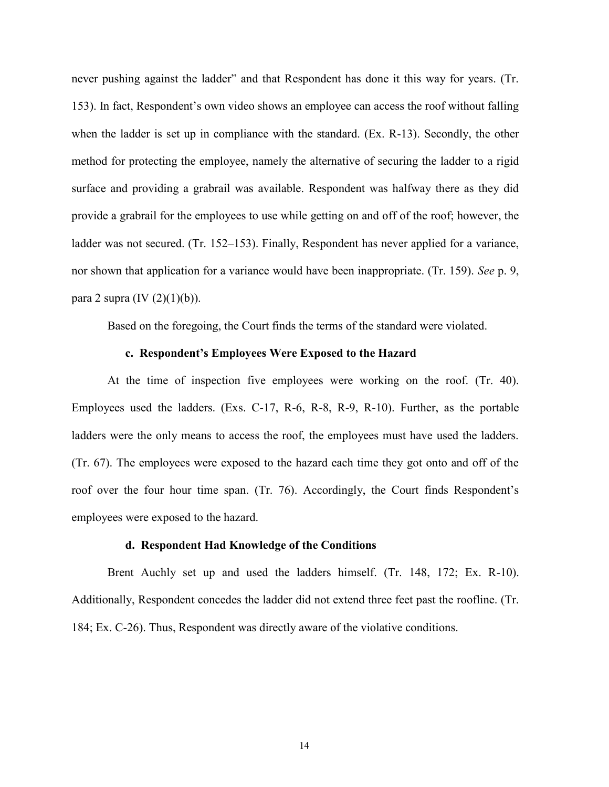never pushing against the ladder" and that Respondent has done it this way for years. (Tr. 153). In fact, Respondent's own video shows an employee can access the roof without falling when the ladder is set up in compliance with the standard. (Ex. R-13). Secondly, the other method for protecting the employee, namely the alternative of securing the ladder to a rigid surface and providing a grabrail was available. Respondent was halfway there as they did provide a grabrail for the employees to use while getting on and off of the roof; however, the ladder was not secured. (Tr. 152–153). Finally, Respondent has never applied for a variance, nor shown that application for a variance would have been inappropriate. (Tr. 159). *See* p. 9, para 2 supra  $(IV (2)(1)(b))$ .

Based on the foregoing, the Court finds the terms of the standard were violated.

#### **c. Respondent's Employees Were Exposed to the Hazard**

At the time of inspection five employees were working on the roof. (Tr. 40). Employees used the ladders. (Exs. C-17, R-6, R-8, R-9, R-10). Further, as the portable ladders were the only means to access the roof, the employees must have used the ladders. (Tr. 67). The employees were exposed to the hazard each time they got onto and off of the roof over the four hour time span. (Tr. 76). Accordingly, the Court finds Respondent's employees were exposed to the hazard.

### **d. Respondent Had Knowledge of the Conditions**

Brent Auchly set up and used the ladders himself. (Tr. 148, 172; Ex. R-10). Additionally, Respondent concedes the ladder did not extend three feet past the roofline. (Tr. 184; Ex. C-26). Thus, Respondent was directly aware of the violative conditions.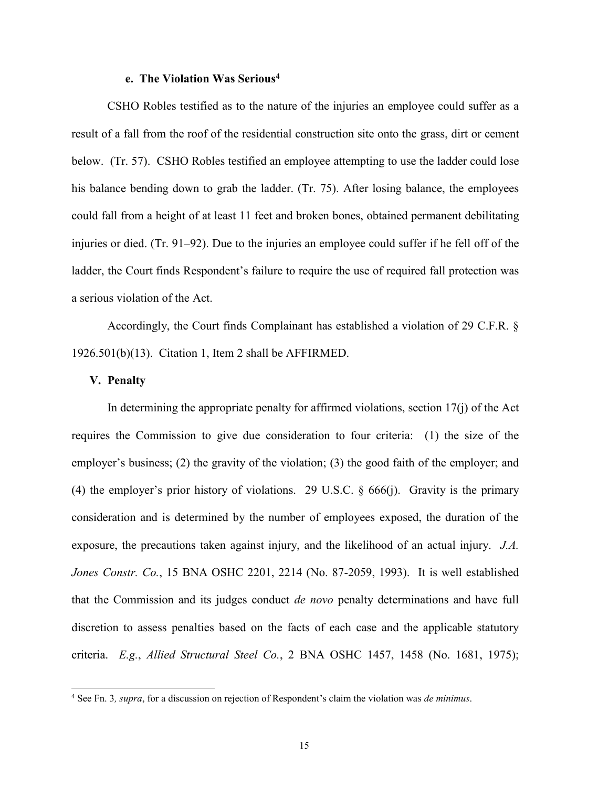# **e. The Violation Was Serious<sup>4</sup>**

CSHO Robles testified as to the nature of the injuries an employee could suffer as a result of a fall from the roof of the residential construction site onto the grass, dirt or cement below. (Tr. 57). CSHO Robles testified an employee attempting to use the ladder could lose his balance bending down to grab the ladder. (Tr. 75). After losing balance, the employees could fall from a height of at least 11 feet and broken bones, obtained permanent debilitating injuries or died. (Tr. 91–92). Due to the injuries an employee could suffer if he fell off of the ladder, the Court finds Respondent's failure to require the use of required fall protection was a serious violation of the Act.

Accordingly, the Court finds Complainant has established a violation of 29 C.F.R. § 1926.501(b)(13). Citation 1, Item 2 shall be AFFIRMED.

## **V. Penalty**

 $\overline{a}$ 

In determining the appropriate penalty for affirmed violations, section  $17(i)$  of the Act requires the Commission to give due consideration to four criteria: (1) the size of the employer's business; (2) the gravity of the violation; (3) the good faith of the employer; and (4) the employer's prior history of violations. 29 U.S.C. § 666(j). Gravity is the primary consideration and is determined by the number of employees exposed, the duration of the exposure, the precautions taken against injury, and the likelihood of an actual injury. *J.A. Jones Constr. Co.*, 15 BNA OSHC 2201, 2214 (No. 87-2059, 1993). It is well established that the Commission and its judges conduct *de novo* penalty determinations and have full discretion to assess penalties based on the facts of each case and the applicable statutory criteria. *E.g.*, *Allied Structural Steel Co.*, 2 BNA OSHC 1457, 1458 (No. 1681, 1975);

<sup>4</sup> See Fn. 3*, supra*, for a discussion on rejection of Respondent's claim the violation was *de minimus*.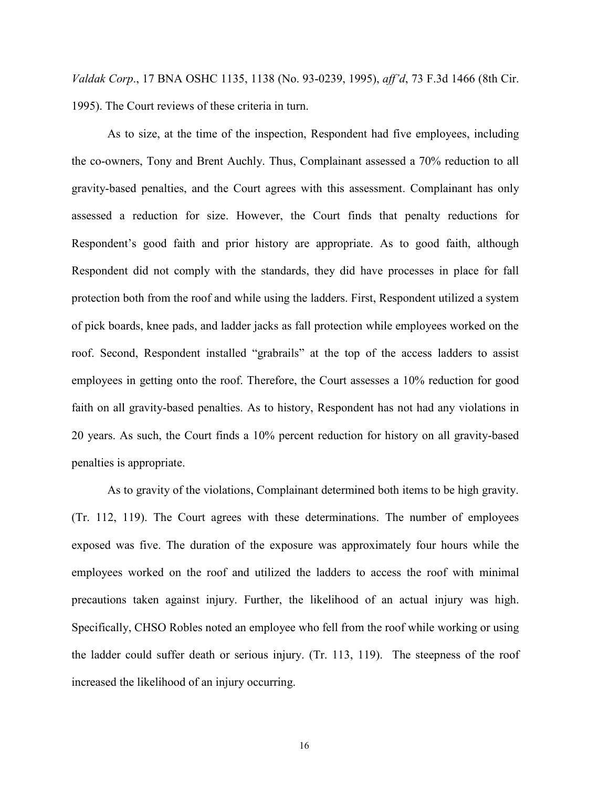*Valdak Corp*., 17 BNA OSHC 1135, 1138 (No. 93-0239, 1995), *aff'd*, 73 F.3d 1466 (8th Cir. 1995). The Court reviews of these criteria in turn.

As to size, at the time of the inspection, Respondent had five employees, including the co-owners, Tony and Brent Auchly. Thus, Complainant assessed a 70% reduction to all gravity-based penalties, and the Court agrees with this assessment. Complainant has only assessed a reduction for size. However, the Court finds that penalty reductions for Respondent's good faith and prior history are appropriate. As to good faith, although Respondent did not comply with the standards, they did have processes in place for fall protection both from the roof and while using the ladders. First, Respondent utilized a system of pick boards, knee pads, and ladder jacks as fall protection while employees worked on the roof. Second, Respondent installed "grabrails" at the top of the access ladders to assist employees in getting onto the roof. Therefore, the Court assesses a 10% reduction for good faith on all gravity-based penalties. As to history, Respondent has not had any violations in 20 years. As such, the Court finds a 10% percent reduction for history on all gravity-based penalties is appropriate.

As to gravity of the violations, Complainant determined both items to be high gravity. (Tr. 112, 119). The Court agrees with these determinations. The number of employees exposed was five. The duration of the exposure was approximately four hours while the employees worked on the roof and utilized the ladders to access the roof with minimal precautions taken against injury. Further, the likelihood of an actual injury was high. Specifically, CHSO Robles noted an employee who fell from the roof while working or using the ladder could suffer death or serious injury. (Tr. 113, 119). The steepness of the roof increased the likelihood of an injury occurring.